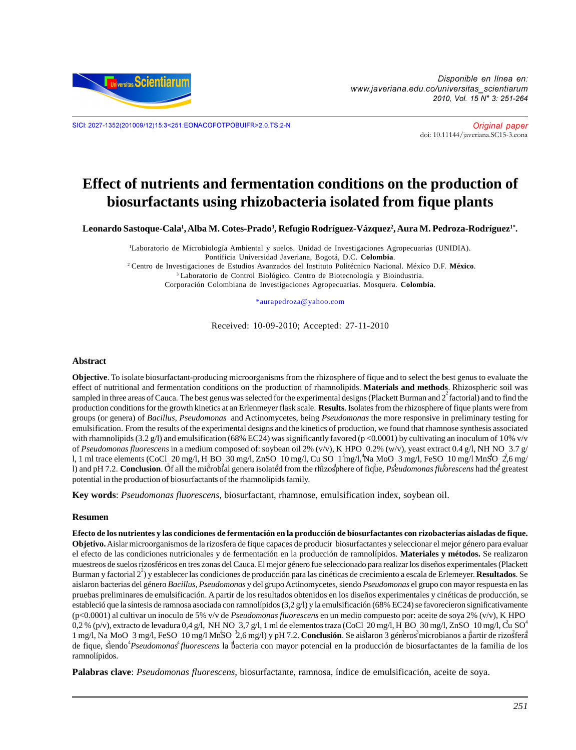

Disponible en línea en: www.javeriana.edu.co/universitas\_scientiarum 2010, Vol. 15 N° 3: 251-264

SICI: 2027-1352(201009/12)15:3<251:EONACOFOTPOBUIFR>2.0.TS;2-N Original paper

[doi: 10.11144/javeriana.SC15-3.eona](http://dx.doi.org/10.11144/javeriana.SC15-3.eona)

# **Effect of nutrients and fermentation conditions on the production of biosurfactants using rhizobacteria isolated from fique plants**

 $\bf L$ eonardo Sastoque-Cala<sup>1</sup>, Alba M. Cotes-Prado<sup>3</sup>, Refugio Rodríguez-Vázquez<sup>2</sup>, Aura M. Pedroza-Rodríguez<sup>1\*</sup>.

1 Laboratorio de Microbiología Ambiental y suelos. Unidad de Investigaciones Agropecuarias (UNIDIA). Pontificia Universidad Javeriana, Bogotá, D.C. **Colombia**. 2 Centro de Investigaciones de Estudios Avanzados del Instituto Politécnico Nacional. México D.F. **México**. <sup>3</sup> Laboratorio de Control Biológico. Centro de Biotecnología y Bioindustria. Corporación Colombiana de Investigaciones Agropecuarias. Mosquera. **Colombia**.

\*aurapedroza@yahoo.com

Received: 10-09-2010; Accepted: 27-11-2010

#### **Abstract**

**Objective**. To isolate biosurfactant-producing microorganisms from the rhizosphere of fique and to select the best genus to evaluate the effect of nutritional and fermentation conditions on the production of rhamnolipids. **Materials and methods**. Rhizospheric soil was sampled in three areas of Cauca. The best genus was selected for the experimental designs (Plackett Burman and  $2^2$  factorial) and to find the production conditions for the growth kinetics at an Erlenmeyer flask scale. **Results**. Isolates from the rhizosphere of fique plants were from groups (or genera) of *Bacillus, Pseudomonas* and Actinomycetes, being *Pseudomonas* the more responsive in preliminary testing for emulsification. From the results of the experimental designs and the kinetics of production, we found that rhamnose synthesis associated with rhamnolipids (3.2 g/l) and emulsification (68% EC24) was significantly favored (p <0.0001) by cultivating an inoculum of 10% v/v of *Pseudomonas fluorescens* in a medium composed of: soybean oil 2% (v/v), K HPO 0.2% (w/v), yeast extract 0.4 g/l, NH NO 3.7 g/<br>1.1 ml twee alements (G-Cl, 20 m al. U.D.O. 20 m al. ZnSO, 10 m al. Gu, SO, 1<sup>2</sup>m al. <sup>4</sup>N a l, 1 ml trace elements (CoCl 20 mg/l, H BO 30 mg/l, ZnSO 10 mg/l, Cu SO 1<sup>2</sup>mg/l, Na MoO 3 mg/l, FeSO 10 mg/l MnSO 2,6 mg/<br>I) and all 7.2. Canalysian c<sup>3</sup>f all the mi<sup>3</sup>ank<sup>2</sup>al sensor is let<sup>4</sup>d from the d<sup>2</sup>an allows of l) and pH 7.2. **Conclusion**. Of all the microbial genera isolated from the rhizosphere of fique, *Pseudomonas fluorescens* had the greatest potential in the production of biosurfactants of the rhamnolipids family.

**Key words**: *Pseudomonas fluorescens*, biosurfactant, rhamnose, emulsification index, soybean oil.

#### **Resumen**

**Efecto de los nutrientes y las condiciones de fermentación en la producción de biosurfactantes con rizobacterias aisladas de fique. Objetivo.** Aislar microorganismos de la rizosfera de fique capaces de producir biosurfactantes y seleccionar el mejor género para evaluar el efecto de las condiciones nutricionales y de fermentación en la producción de ramnolípidos. **Materiales y métodos.** Se realizaron muestreos de suelos rizosféricos en tres zonas del Cauca. El mejor género fue seleccionado para realizar los diseños experimentales (Plackett Burman y factorial 22 ) y establecer las condiciones de producción para las cinéticas de crecimiento a escala de Erlemeyer. **Resultados**. Se aislaron bacterias del género *Bacillus, Pseudomonas* y del grupo Actinomycetes, siendo *Pseudomonas* el grupo con mayor respuesta en las pruebas preliminares de emulsificación. A partir de los resultados obtenidos en los diseños experimentales y cinéticas de producción, se estableció que la síntesis de ramnosa asociada con ramnolípidos (3,2 g/l) y la emulsificación (68% EC24) se favorecieron significativamente  $(p<0.0001)$  al cultivar un inoculo de 5% v/v de *Pseudomonas fluorescens* en un medio compuesto por: aceite de soya 2% (v/v), K HPO (p<0.0001) al cultivar un inoculo de 5% v/v de *Pseudomonas fluorescens* en un medio compuesto por: aceite de soya 2% (v/v), K HPO 0,2 % (p/v), extracto de levadura 0,4 g/l, NH NO 3,7 g/l, 1 ml de elementos traza (CoCl 20 0,2 % (p/v), extracto de levadura 0,4 g/l, NH NO 3,7 g/l, 1 ml de elementos traza (CoCl 20 mg/l, H BO 30 mg/l, ZnSO 10 mg/l, Cu SO<sup>4</sup><br>1 mg/l, Na MoO 3 mg/l, FeSO 10 mg/l MnSO<sup>3</sup>2,6 mg/l) y pH 7.2. **Conclusión**. Se aistaron de fique, siendo *Pseudomonas fluorescens* la bacteria con mayor potencial en la producción de biosurfactantes de la familia de los ramnolípidos.

**Palabras clave**: *Pseudomonas fluorescens*, biosurfactante, ramnosa, índice de emulsificación, aceite de soya.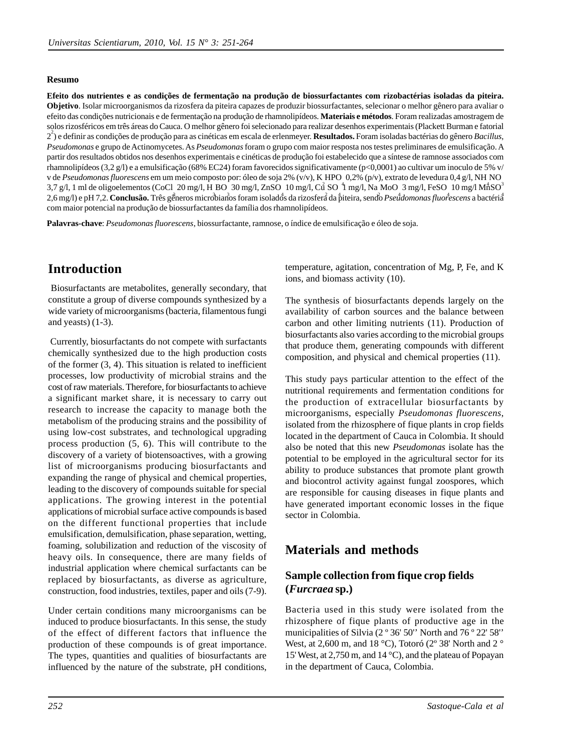#### **Resumo**

**Efeito dos nutrientes e as condições de fermentação na produção de biossurfactantes com rizobactérias isoladas da piteira. Objetivo**. Isolar microorganismos da rizosfera da piteira capazes de produzir biossurfactantes, selecionar o melhor gênero para avaliar o efeito das condições nutricionais e de fermentação na produção de rhamnolipídeos. **Materiais e métodos**. Foram realizadas amostragem de solos rizosféricos em três áreas do Cauca. O melhor gênero foi selecionado para realizar desenhos experimentais (Plackett Burman e fatorial 2 2 ) e definir as condições de produção para as cinéticas em escala de erlenmeyer. **Resultados.** Foram isoladas bactérias do gênero *Bacillus*, *Pseudomonas* e grupo de Actinomycetes. As *Pseudomonas* foram o grupo com maior resposta nos testes preliminares de emulsificação. A partir dos resultados obtidos nos desenhos experimentais e cinéticas de produção foi estabelecido que a síntese de ramnose associados com rhamnolipídeos (3,2 g/l) e a emulsificação (68% EC24) foram favorecidos significativamente (p<0,0001) ao cultivar um inoculo de 5% v/ v de *Pseudomonas fluorescens* em um meio composto por: óleo de soja 2% (v/v), K HPO 0,2% (p/v), extrato de levedura 0,4 g/l, NH<br>2.7 a/l, 1 mJ de alize clamentes (GeCl, 20 mg/l, H, DO, 20 mg/l, ZgSO, 10 mg/l, Gg<sup>2</sup> SO, <sup>4</sup> v de *Pseudomonas fluorescens* em um meio composto por: óleo de soja 2% (v/v), K HPO 0,2% (p/v), extrato de levedura 0,4 g/l, NH NO<br>3,7 g/l, 1 ml de oligoelementos (CoCl 20 mg/l, H BO 30 mg/l, ZnSO 10 mg/l, Cu<sup>2</sup> SO <sup>4</sup>1 m 10 mg/l MnSO4 2,6 mg/l) e pH 7,2. **Conclusão.** Três gêneros microbianos foram isolados da rizosfera da piteira, sendo *Pseudomonas fluorescens* a bactéria com maior potencial na produção de biossurfactantes da família dos rhamnolipídeos.

**Palavras-chave**: *Pseudomonas fluorescens*, biossurfactante, ramnose, o índice de emulsificação e óleo de soja.

# **Introduction**

 Biosurfactants are metabolites, generally secondary, that constitute a group of diverse compounds synthesized by a wide variety of microorganisms (bacteria, filamentous fungi and yeasts) (1-3).

 Currently, biosurfactants do not compete with surfactants chemically synthesized due to the high production costs of the former (3, 4). This situation is related to inefficient processes, low productivity of microbial strains and the cost of raw materials. Therefore, for biosurfactants to achieve a significant market share, it is necessary to carry out research to increase the capacity to manage both the metabolism of the producing strains and the possibility of using low-cost substrates, and technological upgrading process production (5, 6). This will contribute to the discovery of a variety of biotensoactives, with a growing list of microorganisms producing biosurfactants and expanding the range of physical and chemical properties, leading to the discovery of compounds suitable for special applications. The growing interest in the potential applications of microbial surface active compounds is based on the different functional properties that include emulsification, demulsification, phase separation, wetting, foaming, solubilization and reduction of the viscosity of heavy oils. In consequence, there are many fields of industrial application where chemical surfactants can be replaced by biosurfactants, as diverse as agriculture, construction, food industries, textiles, paper and oils (7-9).

Under certain conditions many microorganisms can be induced to produce biosurfactants. In this sense, the study of the effect of different factors that influence the production of these compounds is of great importance. The types, quantities and qualities of biosurfactants are influenced by the nature of the substrate, pH conditions,

temperature, agitation, concentration of Mg, P, Fe, and K ions, and biomass activity (10).

The synthesis of biosurfactants depends largely on the availability of carbon sources and the balance between carbon and other limiting nutrients (11). Production of biosurfactants also varies according to the microbial groups that produce them, generating compounds with different composition, and physical and chemical properties (11).

This study pays particular attention to the effect of the nutritional requirements and fermentation conditions for the production of extracellular biosurfactants by microorganisms, especially *Pseudomonas fluorescens*, isolated from the rhizosphere of fique plants in crop fields located in the department of Cauca in Colombia. It should also be noted that this new *Pseudomonas* isolate has the potential to be employed in the agricultural sector for its ability to produce substances that promote plant growth and biocontrol activity against fungal zoospores, which are responsible for causing diseases in fique plants and have generated important economic losses in the fique sector in Colombia.

# **Materials and methods**

## **Sample collection from fique crop fields (***Furcraea* **sp.)**

Bacteria used in this study were isolated from the rhizosphere of fique plants of productive age in the municipalities of Silvia (2 º 36' 50'' North and 76 º 22' 58'' West, at 2,600 m, and 18 °C), Totoró (2° 38' North and 2 ° 15' West, at 2,750 m, and 14 °C), and the plateau of Popayan in the department of Cauca, Colombia.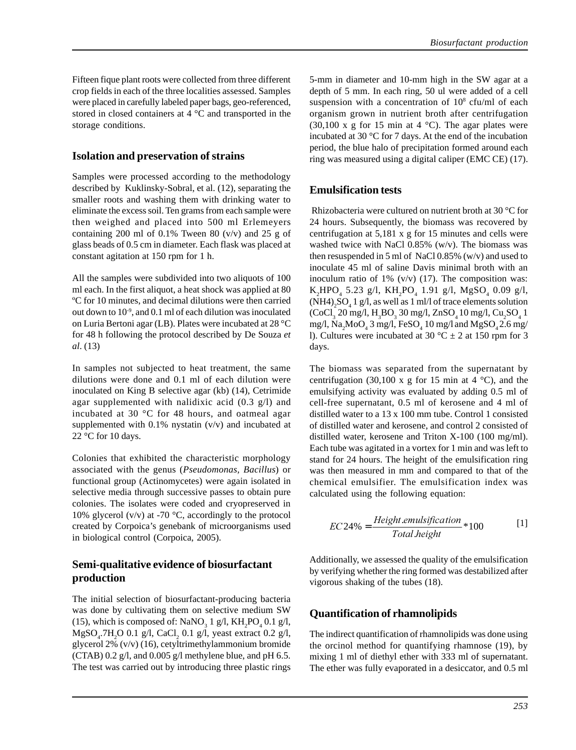Fifteen fique plant roots were collected from three different crop fields in each of the three localities assessed. Samples were placed in carefully labeled paper bags, geo-referenced, stored in closed containers at 4 °C and transported in the storage conditions.

#### **Isolation and preservation of strains**

Samples were processed according to the methodology described by Kuklinsky-Sobral, et al. (12), separating the smaller roots and washing them with drinking water to eliminate the excess soil. Ten grams from each sample were then weighed and placed into 500 ml Erlemeyers containing 200 ml of 0.1% Tween 80 (v/v) and 25 g of glass beads of 0.5 cm in diameter. Each flask was placed at constant agitation at 150 rpm for 1 h.

All the samples were subdivided into two aliquots of 100 ml each. In the first aliquot, a heat shock was applied at 80 ºC for 10 minutes, and decimal dilutions were then carried out down to  $10<sup>-9</sup>$ , and 0.1 ml of each dilution was inoculated on Luria Bertoni agar (LB). Plates were incubated at 28 °C for 48 h following the protocol described by De Souza *et al*. (13)

In samples not subjected to heat treatment, the same dilutions were done and 0.1 ml of each dilution were inoculated on King B selective agar (kb) (14), Cetrimide agar supplemented with nalidixic acid  $(0.3 \text{ g/l})$  and incubated at 30 °C for 48 hours, and oatmeal agar supplemented with  $0.1\%$  nystatin (v/v) and incubated at 22 °C for 10 days.

Colonies that exhibited the characteristic morphology associated with the genus (*Pseudomonas, Bacillus*) or functional group (Actinomycetes) were again isolated in selective media through successive passes to obtain pure colonies. The isolates were coded and cryopreserved in 10% glycerol (v/v) at -70  $\degree$ C, accordingly to the protocol created by Corpoica's genebank of microorganisms used in biological control (Corpoica, 2005).

## **Semi-qualitative evidence of biosurfactant production**

The initial selection of biosurfactant-producing bacteria was done by cultivating them on selective medium SW (15), which is composed of:  $\text{NaNO}_3$  1 g/l,  $\text{KH}_2\text{PO}_4$  0.1 g/l,  $MgSO_4$ .7H<sub>2</sub>O 0.1 g/l, CaCl<sub>2</sub> 0.1 g/l, yeast extract 0.2 g/l, glycerol 2% (v/v) (16), cetyltrimethylammonium bromide (CTAB) 0.2 g/l, and 0.005 g/l methylene blue, and pH 6.5. The test was carried out by introducing three plastic rings

5-mm in diameter and 10-mm high in the SW agar at a depth of 5 mm. In each ring, 50 ul were added of a cell suspension with a concentration of  $10^8$  cfu/ml of each organism grown in nutrient broth after centrifugation (30,100 x g for 15 min at 4  $^{\circ}$ C). The agar plates were incubated at 30 °C for 7 days. At the end of the incubation period, the blue halo of precipitation formed around each ring was measured using a digital caliper (EMC CE) (17).

### **Emulsification tests**

 Rhizobacteria were cultured on nutrient broth at 30 °C for 24 hours. Subsequently, the biomass was recovered by centrifugation at 5,181 x g for 15 minutes and cells were washed twice with NaCl 0.85% (w/v). The biomass was then resuspended in 5 ml of NaCl 0.85% (w/v) and used to inoculate 45 ml of saline Davis minimal broth with an inoculum ratio of  $1\%$  (v/v) (17). The composition was:  $K_2$ HPO<sub>4</sub> 5.23 g/l,  $KH_2$ PO<sub>4</sub> 1.91 g/l, MgSO<sub>4</sub> 0.09 g/l,  $(NH4)_{2}SO_{4}1$  g/l, as well as 1 ml/l of trace elements solution  $(CoCl<sub>3</sub> 20 mg/l, H<sub>3</sub>BO<sub>3</sub> 30 mg/l, ZnSO<sub>4</sub> 10 mg/l, Cu<sub>2</sub>SO<sub>4</sub> 1$ mg/l, Na<sub>2</sub>MoO<sub>4</sub> 3 mg/l, FeSO<sub>4</sub> 10 mg/l and MgSO<sub>4</sub> 2.6 mg/ l). Cultures were incubated at 30  $^{\circ}$ C  $\pm$  2 at 150 rpm for 3 days.

The biomass was separated from the supernatant by centrifugation (30,100 x g for 15 min at 4  $^{\circ}$ C), and the emulsifying activity was evaluated by adding 0.5 ml of cell-free supernatant, 0.5 ml of kerosene and 4 ml of distilled water to a 13 x 100 mm tube. Control 1 consisted of distilled water and kerosene, and control 2 consisted of distilled water, kerosene and Triton X-100 (100 mg/ml). Each tube was agitated in a vortex for 1 min and was left to stand for 24 hours. The height of the emulsification ring was then measured in mm and compared to that of the chemical emulsifier. The emulsification index was calculated using the following equation:

$$
EC24\% = \frac{Height.emulsification}{Total. height} * 100
$$
 [1]

Additionally, we assessed the quality of the emulsification by verifying whether the ring formed was destabilized after vigorous shaking of the tubes (18).

## **Quantification of rhamnolipids**

The indirect quantification of rhamnolipids was done using the orcinol method for quantifying rhamnose (19), by mixing 1 ml of diethyl ether with 333 ml of supernatant. The ether was fully evaporated in a desiccator, and 0.5 ml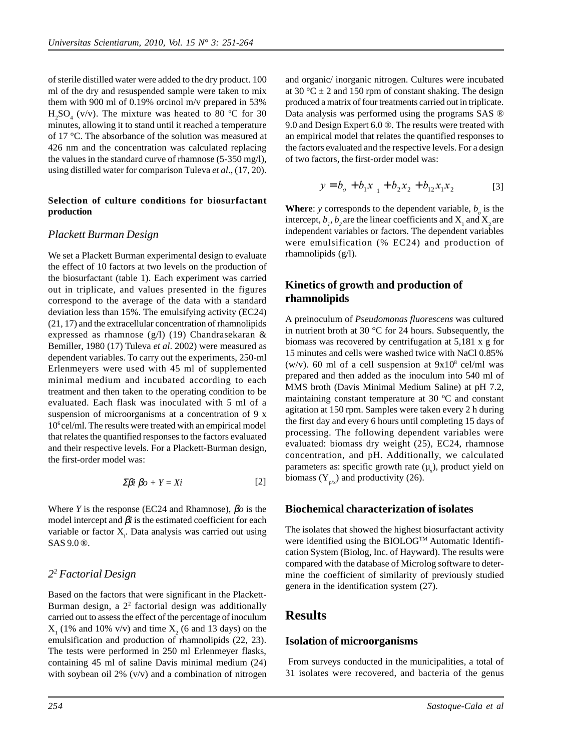of sterile distilled water were added to the dry product. 100 ml of the dry and resuspended sample were taken to mix them with 900 ml of 0.19% orcinol m/v prepared in 53%  $H_2SO_4$  (v/v). The mixture was heated to 80 °C for 30 minutes, allowing it to stand until it reached a temperature of 17 °C. The absorbance of the solution was measured at 426 nm and the concentration was calculated replacing the values in the standard curve of rhamnose (5-350 mg/l), using distilled water for comparison Tuleva *et al*., (17, 20).

#### **Selection of culture conditions for biosurfactant production**

### *Plackett Burman Design*

We set a Plackett Burman experimental design to evaluate the effect of 10 factors at two levels on the production of the biosurfactant (table 1). Each experiment was carried out in triplicate, and values presented in the figures correspond to the average of the data with a standard deviation less than 15%. The emulsifying activity (EC24) (21, 17) and the extracellular concentration of rhamnolipids expressed as rhamnose (g/l) (19) Chandrasekaran & Bemiller, 1980 (17) Tuleva *et al*. 2002) were measured as dependent variables. To carry out the experiments, 250-ml Erlenmeyers were used with 45 ml of supplemented minimal medium and incubated according to each treatment and then taken to the operating condition to be evaluated. Each flask was inoculated with 5 ml of a suspension of microorganisms at a concentration of 9 x 106 cel/ml. The results were treated with an empirical model that relates the quantified responses to the factors evaluated and their respective levels. For a Plackett-Burman design, the first-order model was:

$$
\sum \beta i \ \beta o + Y = Xi \tag{2}
$$

Where *Y* is the response (EC24 and Rhamnose), β*o* is the model intercept and  $\beta$ *i* is the estimated coefficient for each variable or factor X<sub>i</sub>. Data analysis was carried out using SAS 9.0 ®.

# *22 Factorial Design*

Based on the factors that were significant in the Plackett-Burman design, a 22 factorial design was additionally carried out to assess the effect of the percentage of inoculum  $X_1$  (1% and 10% v/v) and time  $X_2$  (6 and 13 days) on the emulsification and production of rhamnolipids (22, 23). The tests were performed in 250 ml Erlenmeyer flasks, containing 45 ml of saline Davis minimal medium (24) with soybean oil 2% (v/v) and a combination of nitrogen

and organic/ inorganic nitrogen. Cultures were incubated at 30 °C  $\pm$  2 and 150 rpm of constant shaking. The design produced a matrix of four treatments carried out in triplicate. Data analysis was performed using the programs SAS ® 9.0 and Design Expert 6.0 ®. The results were treated with an empirical model that relates the quantified responses to the factors evaluated and the respective levels. For a design of two factors, the first-order model was:

$$
y = b_o + b_1 x_{11} + b_2 x_2 + b_{12} x_1 x_2
$$
 [3]

**Where**: *y* corresponds to the dependent variable,  $b<sub>o</sub>$  is the intercept,  $b_1$ ,  $b_2$  are the linear coefficients and  $X_1$  and  $X_2$  are independent variables or factors. The dependent variables were emulsification (% EC24) and production of rhamnolipids (g/l).

## **Kinetics of growth and production of rhamnolipids**

A preinoculum of *Pseudomonas fluorescens* was cultured in nutrient broth at 30 °C for 24 hours. Subsequently, the biomass was recovered by centrifugation at 5,181 x g for 15 minutes and cells were washed twice with NaCl 0.85% (w/v). 60 ml of a cell suspension at  $9x10^8$  cel/ml was prepared and then added as the inoculum into 540 ml of MMS broth (Davis Minimal Medium Saline) at pH 7.2, maintaining constant temperature at 30 ºC and constant agitation at 150 rpm. Samples were taken every 2 h during the first day and every 6 hours until completing 15 days of processing. The following dependent variables were evaluated: biomass dry weight (25), EC24, rhamnose concentration, and pH. Additionally, we calculated parameters as: specific growth rate  $(\mu_x)$ , product yield on biomass  $(Y_{p/x})$  and productivity (26).

### **Biochemical characterization of isolates**

The isolates that showed the highest biosurfactant activity were identified using the BIOLOG™ Automatic Identification System (Biolog, Inc. of Hayward). The results were compared with the database of Microlog software to determine the coefficient of similarity of previously studied genera in the identification system (27).

# **Results**

### **Isolation of microorganisms**

 From surveys conducted in the municipalities, a total of 31 isolates were recovered, and bacteria of the genus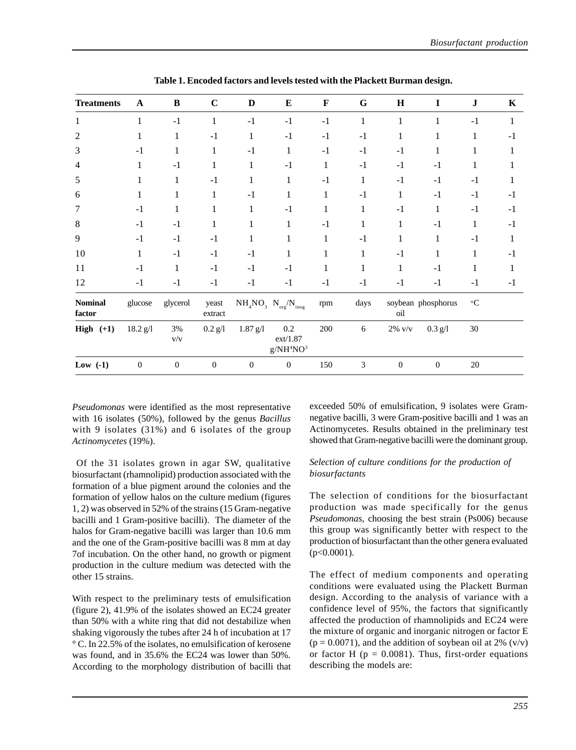| <b>Treatments</b>        | A                | $\, {\bf B}$   | $\mathbf C$      | D                         | E                                                                                  | $\mathbf F$ | G            | $\mathbf H$               | I            | ${\bf J}$                 | $\mathbf K$  |
|--------------------------|------------------|----------------|------------------|---------------------------|------------------------------------------------------------------------------------|-------------|--------------|---------------------------|--------------|---------------------------|--------------|
| 1                        |                  | $-1$           | $\mathbf{1}$     | $-1$                      | $-1$                                                                               | $-1$        | $\mathbf{1}$ | $\mathbf{1}$              | $\mathbf{1}$ | $-1$                      | $\mathbf{1}$ |
| $\mathfrak{2}$           | 1                | 1              | $-1$             | 1                         | $-1$                                                                               | $-1$        | $-1$         | $\mathbf{1}$              | 1            | 1                         | $-1$         |
| 3                        | $-1$             | 1              | 1                | $-1$                      | 1                                                                                  | $-1$        | $-1$         | $-1$                      | $\mathbf{1}$ |                           | 1            |
| 4                        |                  | $-1$           | $\mathbf{1}$     | 1                         | $-1$                                                                               | 1           | $-1$         | $-1$                      | $-1$         | 1                         | 1            |
| 5                        | 1                | 1              | $-1$             | 1                         | 1                                                                                  | $-1$        | 1            | $-1$                      | $-1$         | $-1$                      | 1            |
| 6                        | 1                | 1              | 1                | $-1$                      |                                                                                    | 1           | $-1$         | 1                         | $-1$         | $-1$                      | $-1$         |
| 7                        | $-1$             | 1              | 1                | 1                         | $-1$                                                                               | 1           | 1            | $-1$                      | 1            | $-1$                      | $-1$         |
| $\,8$                    | $-1$             | $-1$           | 1                | 1                         | 1                                                                                  | $-1$        | 1            | 1                         | $-1$         | 1                         | $-1$         |
| 9                        | $-1$             | $-1$           | $-1$             | 1                         | 1                                                                                  | 1           | $-1$         | 1                         | 1            | $-1$                      | 1            |
| 10                       | 1                | $-1$           | $-1$             | $-1$                      | 1                                                                                  | 1           | 1            | $-1$                      | 1            | 1                         | $-1$         |
| 11                       | $-1$             | 1              | $-1$             | $-1$                      | $-1$                                                                               | 1           | 1            | 1                         | $-1$         | 1                         | 1            |
| 12                       | $-1$             | $-1$           | $-1$             | $-1$                      | $-1$                                                                               | $-1$        | $-1$         | $-1$                      | $-1$         | $-1$                      | $-1$         |
| <b>Nominal</b><br>factor | glucose          | glycerol       | yeast<br>extract |                           | $\mathrm{NH}_4\mathrm{NO}_3\ \mathrm{N}_{\mathrm{org}}/\mathrm{N}_{\mathrm{inog}}$ | rpm         | days         | soybean phosphorus<br>oil |              | $^{\mathrm{o}}\mathbf{C}$ |              |
| High $(+1)$              | 18.2 g/l         | 3%<br>V/V      | $0.2$ $g/l$      | $1.87 \text{ g}/\text{l}$ | $0.2\,$<br>ext/1.87<br>$g/NH^4NO^3$                                                | 200         | 6            | $2\%$ v/v                 | $0.3$ g/l    | $30\,$                    |              |
| Low $(-1)$               | $\boldsymbol{0}$ | $\overline{0}$ | $\mathbf{0}$     | $\mathbf{0}$              | $\mathbf{0}$                                                                       | 150         | 3            | $\theta$                  | $\mathbf{0}$ | $20\,$                    |              |

**Table 1. Encoded factors and levels tested with the Plackett Burman design.**

*Pseudomonas* were identified as the most representative with 16 isolates (50%), followed by the genus *Bacillus* with 9 isolates (31%) and 6 isolates of the group *Actinomycetes* (19%).

 Of the 31 isolates grown in agar SW, qualitative biosurfactant (rhamnolipid) production associated with the formation of a blue pigment around the colonies and the formation of yellow halos on the culture medium (figures 1, 2) was observed in 52% of the strains (15 Gram-negative bacilli and 1 Gram-positive bacilli). The diameter of the halos for Gram-negative bacilli was larger than 10.6 mm and the one of the Gram-positive bacilli was 8 mm at day 7of incubation. On the other hand, no growth or pigment production in the culture medium was detected with the other 15 strains.

With respect to the preliminary tests of emulsification (figure 2), 41.9% of the isolates showed an EC24 greater than 50% with a white ring that did not destabilize when shaking vigorously the tubes after 24 h of incubation at 17 ° C. In 22.5% of the isolates, no emulsification of kerosene was found, and in 35.6% the EC24 was lower than 50%. According to the morphology distribution of bacilli that exceeded 50% of emulsification, 9 isolates were Gramnegative bacilli, 3 were Gram-positive bacilli and 1 was an Actinomycetes. Results obtained in the preliminary test showed that Gram-negative bacilli were the dominant group.

#### *Selection of culture conditions for the production of biosurfactants*

The selection of conditions for the biosurfactant production was made specifically for the genus *Pseudomonas*, choosing the best strain (Ps006) because this group was significantly better with respect to the production of biosurfactant than the other genera evaluated  $(p<0.0001)$ .

The effect of medium components and operating conditions were evaluated using the Plackett Burman design. According to the analysis of variance with a confidence level of 95%, the factors that significantly affected the production of rhamnolipids and EC24 were the mixture of organic and inorganic nitrogen or factor E  $(p = 0.0071)$ , and the addition of soybean oil at 2% (v/v) or factor H ( $p = 0.0081$ ). Thus, first-order equations describing the models are: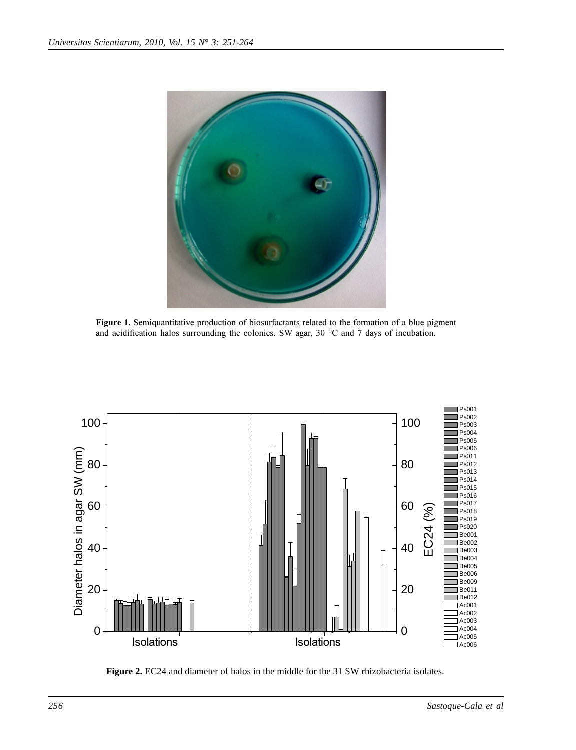

Figure 1. Semiquantitative production of biosurfactants related to the formation of a blue pigment and acidification halos surrounding the colonies. SW agar, 30 °C and 7 days of incubation.



**Figure 2.** EC24 and diameter of halos in the middle for the 31 SW rhizobacteria isolates.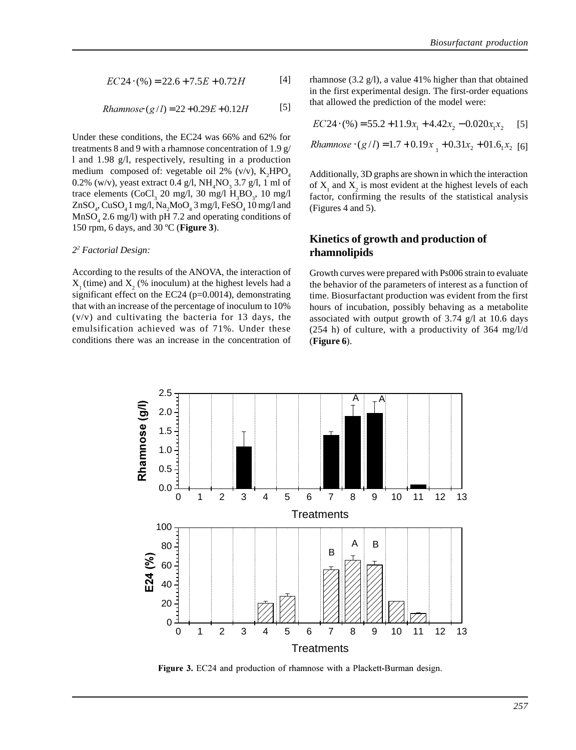$$
EC24 \cdot (%) = 22.6 + 7.5E + 0.72H
$$
 [4]

*Rhamnose* 
$$
(g/l) = 22 + 0.29E + 0.12H
$$
 [5]

Under these conditions, the EC24 was 66% and 62% for treatments 8 and 9 with a rhamnose concentration of 1.9 g/ l and 1.98 g/l, respectively, resulting in a production medium composed of: vegetable oil 2% (v/v),  $K_2HPO_4$ 0.2% (w/v), yeast extract 0.4  $g/l$ , NH<sub>4</sub>NO<sub>3</sub> 3.7  $g/l$ , 1 ml of trace elements  $(CoCl<sub>3</sub> 20 mg/l, 30 mg/l H<sub>3</sub>BO<sub>3</sub>, 10 mg/l)$  $\text{ZnSO}_4$ ,  $\text{CuSO}_4$  1 mg/l,  $\text{Na}_2\text{MoO}_4$  3 mg/l,  $\text{FeSO}_4$  10 mg/l and  $MnSO<sub>4</sub>$  2.6 mg/l) with pH 7.2 and operating conditions of 150 rpm, 6 days, and 30 ºC (**Figure 3**).

#### *22 Factorial Design:*

According to the results of the ANOVA, the interaction of  $X_1$ (time) and  $X_2$  (% inoculum) at the highest levels had a significant effect on the EC24 ( $p=0.0014$ ), demonstrating that with an increase of the percentage of inoculum to 10%  $(v/v)$  and cultivating the bacteria for 13 days, the emulsification achieved was of 71%. Under these conditions there was an increase in the concentration of rhamnose (3.2 g/l), a value 41% higher than that obtained in the first experimental design. The first-order equations that allowed the prediction of the model were:

$$
EC24 \cdot (\%) = 55.2 + 11.9x_1 + 4.42x_2 - 0.020x_1x_2
$$
 [5]  
Rhamnose · (g/l) = 1.7 + 0.19x<sub>1</sub> + 0.31x<sub>2</sub> + 01.6<sub>1</sub>x<sub>2</sub> [6]

Additionally, 3D graphs are shown in which the interaction of  $X_1$  and  $X_2$  is most evident at the highest levels of each factor, confirming the results of the statistical analysis (Figures 4 and 5).

#### **Kinetics of growth and production of rhamnolipids**

Growth curves were prepared with Ps006 strain to evaluate the behavior of the parameters of interest as a function of time. Biosurfactant production was evident from the first hours of incubation, possibly behaving as a metabolite associated with output growth of 3.74 g/l at 10.6 days (254 h) of culture, with a productivity of 364 mg/l/d (**Figure 6**).



Figure 3. EC24 and production of rhamnose with a Plackett-Burman design.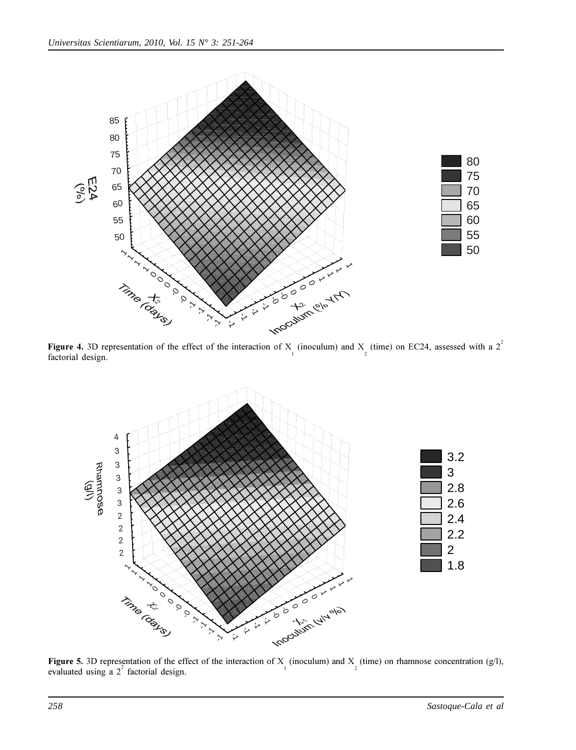

**Figure 4.** 3D representation of the effect of the interaction of X<sub>1</sub> (inoculum) and X<sub>2</sub> (time) on EC24, assessed with a 2<sup>2</sup> factorial design.



**Figure 5.** 3D representation of the effect of the interaction of X (inoculum) and X (time) on rhamnose concentration (g/l), evaluated using a 2<sup>2</sup> factorial design.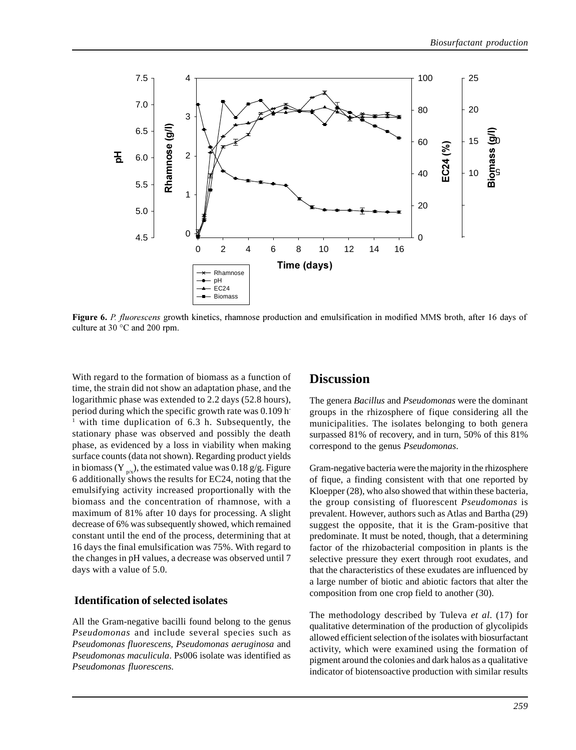

Figure 6. P. fluorescens growth kinetics, rhamnose production and emulsification in modified MMS broth, after 16 days of culture at 30 °C and 200 rpm.

With regard to the formation of biomass as a function of time, the strain did not show an adaptation phase, and the logarithmic phase was extended to 2.2 days (52.8 hours), period during which the specific growth rate was 0.109 h-<sup>1</sup> with time duplication of 6.3 h. Subsequently, the stationary phase was observed and possibly the death phase, as evidenced by a loss in viability when making surface counts (data not shown). Regarding product yields in biomass (Y  $_{p/x}$ ), the estimated value was 0.18 g/g. Figure 6 additionally shows the results for EC24, noting that the emulsifying activity increased proportionally with the biomass and the concentration of rhamnose, with a maximum of 81% after 10 days for processing. A slight decrease of 6% was subsequently showed, which remained constant until the end of the process, determining that at 16 days the final emulsification was 75%. With regard to the changes in pH values, a decrease was observed until 7 days with a value of 5.0.

#### **Identification of selected isolates**

All the Gram-negative bacilli found belong to the genus *Pseudomonas* and include several species such as *Pseudomonas fluorescens*, *Pseudomonas aeruginosa* and *Pseudomonas maculicula*. Ps006 isolate was identified as *Pseudomonas fluorescens*.

### **Discussion**

The genera *Bacillus* and *Pseudomonas* were the dominant groups in the rhizosphere of fique considering all the municipalities. The isolates belonging to both genera surpassed 81% of recovery, and in turn, 50% of this 81% correspond to the genus *Pseudomonas*.

Gram-negative bacteria were the majority in the rhizosphere of fique, a finding consistent with that one reported by Kloepper (28), who also showed that within these bacteria, the group consisting of fluorescent *Pseudomonas* is prevalent. However, authors such as Atlas and Bartha (29) suggest the opposite, that it is the Gram-positive that predominate. It must be noted, though, that a determining factor of the rhizobacterial composition in plants is the selective pressure they exert through root exudates, and that the characteristics of these exudates are influenced by a large number of biotic and abiotic factors that alter the composition from one crop field to another (30).

The methodology described by Tuleva *et al*. (17) for qualitative determination of the production of glycolipids allowed efficient selection of the isolates with biosurfactant activity, which were examined using the formation of pigment around the colonies and dark halos as a qualitative indicator of biotensoactive production with similar results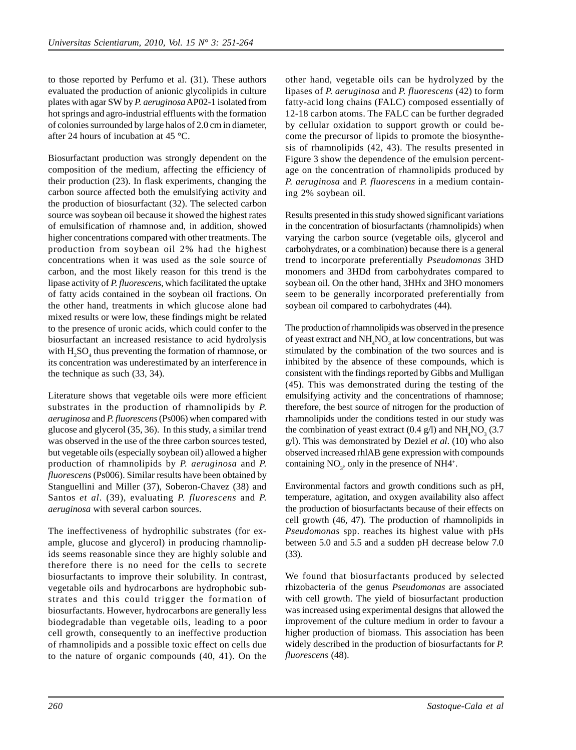to those reported by Perfumo et al. (31). These authors evaluated the production of anionic glycolipids in culture plates with agar SW by *P. aeruginosa* AP02-1 isolated from hot springs and agro-industrial effluents with the formation of colonies surrounded by large halos of 2.0 cm in diameter, after 24 hours of incubation at 45 °C.

Biosurfactant production was strongly dependent on the composition of the medium, affecting the efficiency of their production (23). In flask experiments, changing the carbon source affected both the emulsifying activity and the production of biosurfactant (32). The selected carbon source was soybean oil because it showed the highest rates of emulsification of rhamnose and, in addition, showed higher concentrations compared with other treatments. The production from soybean oil 2% had the highest concentrations when it was used as the sole source of carbon, and the most likely reason for this trend is the lipase activity of *P. fluorescens*, which facilitated the uptake of fatty acids contained in the soybean oil fractions. On the other hand, treatments in which glucose alone had mixed results or were low, these findings might be related to the presence of uronic acids, which could confer to the biosurfactant an increased resistance to acid hydrolysis with  $H_2SO_4$  thus preventing the formation of rhamnose, or its concentration was underestimated by an interference in the technique as such (33, 34).

Literature shows that vegetable oils were more efficient substrates in the production of rhamnolipids by *P. aeruginosa* and *P. fluorescens* (Ps006) when compared with glucose and glycerol (35, 36). In this study, a similar trend was observed in the use of the three carbon sources tested, but vegetable oils (especially soybean oil) allowed a higher production of rhamnolipids by *P. aeruginosa* and *P. fluorescens* (Ps006). Similar results have been obtained by Stanguellini and Miller (37), Soberon-Chavez (38) and Santos *et al*. (39), evaluating *P. fluorescens* and *P. aeruginosa* with several carbon sources.

The ineffectiveness of hydrophilic substrates (for example, glucose and glycerol) in producing rhamnolipids seems reasonable since they are highly soluble and therefore there is no need for the cells to secrete biosurfactants to improve their solubility. In contrast, vegetable oils and hydrocarbons are hydrophobic substrates and this could trigger the formation of biosurfactants. However, hydrocarbons are generally less biodegradable than vegetable oils, leading to a poor cell growth, consequently to an ineffective production of rhamnolipids and a possible toxic effect on cells due to the nature of organic compounds (40, 41). On the

other hand, vegetable oils can be hydrolyzed by the lipases of *P. aeruginosa* and *P. fluorescens* (42) to form fatty-acid long chains (FALC) composed essentially of 12-18 carbon atoms. The FALC can be further degraded by cellular oxidation to support growth or could become the precursor of lipids to promote the biosynthesis of rhamnolipids (42, 43). The results presented in Figure 3 show the dependence of the emulsion percentage on the concentration of rhamnolipids produced by *P. aeruginosa* and *P. fluorescens* in a medium containing 2% soybean oil.

Results presented in this study showed significant variations in the concentration of biosurfactants (rhamnolipids) when varying the carbon source (vegetable oils, glycerol and carbohydrates, or a combination) because there is a general trend to incorporate preferentially *Pseudomonas* 3HD monomers and 3HDd from carbohydrates compared to soybean oil. On the other hand, 3HHx and 3HO monomers seem to be generally incorporated preferentially from soybean oil compared to carbohydrates (44).

The production of rhamnolipids was observed in the presence of yeast extract and  $NH<sub>4</sub>NO<sub>3</sub>$  at low concentrations, but was stimulated by the combination of the two sources and is inhibited by the absence of these compounds, which is consistent with the findings reported by Gibbs and Mulligan (45). This was demonstrated during the testing of the emulsifying activity and the concentrations of rhamnose; therefore, the best source of nitrogen for the production of rhamnolipids under the conditions tested in our study was the combination of yeast extract  $(0.4 \text{ g/l})$  and  $\text{NH}_4\text{NO}_3$  (3.7) g/l). This was demonstrated by Deziel *et al*. (10) who also observed increased rhlAB gene expression with compounds containing  $NO_3$ , only in the presence of NH4<sup>+</sup>.

Environmental factors and growth conditions such as pH, temperature, agitation, and oxygen availability also affect the production of biosurfactants because of their effects on cell growth (46, 47). The production of rhamnolipids in *Pseudomonas* spp. reaches its highest value with pHs between 5.0 and 5.5 and a sudden pH decrease below 7.0 (33).

We found that biosurfactants produced by selected rhizobacteria of the genus *Pseudomonas* are associated with cell growth. The yield of biosurfactant production was increased using experimental designs that allowed the improvement of the culture medium in order to favour a higher production of biomass. This association has been widely described in the production of biosurfactants for *P. fluorescens* (48).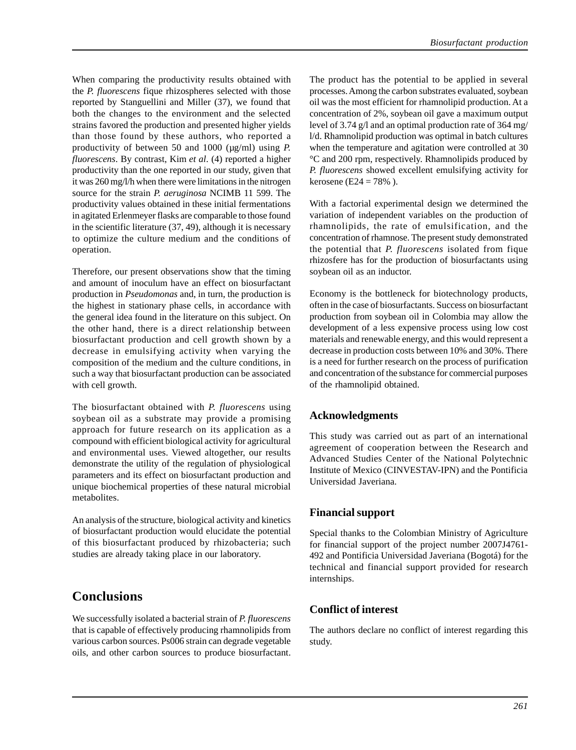When comparing the productivity results obtained with the *P. fluorescens* fique rhizospheres selected with those reported by Stanguellini and Miller (37), we found that both the changes to the environment and the selected strains favored the production and presented higher yields than those found by these authors, who reported a productivity of between 50 and 1000 ( $\mu$ g/ml) using *P*. *fluorescens*. By contrast, Kim *et al*. (4) reported a higher productivity than the one reported in our study, given that it was 260 mg/l/h when there were limitations in the nitrogen source for the strain *P. aeruginosa* NCIMB 11 599. The productivity values obtained in these initial fermentations in agitated Erlenmeyer flasks are comparable to those found in the scientific literature (37, 49), although it is necessary to optimize the culture medium and the conditions of operation.

Therefore, our present observations show that the timing and amount of inoculum have an effect on biosurfactant production in *Pseudomonas* and, in turn, the production is the highest in stationary phase cells, in accordance with the general idea found in the literature on this subject. On the other hand, there is a direct relationship between biosurfactant production and cell growth shown by a decrease in emulsifying activity when varying the composition of the medium and the culture conditions, in such a way that biosurfactant production can be associated with cell growth.

The biosurfactant obtained with *P. fluorescens* using soybean oil as a substrate may provide a promising approach for future research on its application as a compound with efficient biological activity for agricultural and environmental uses. Viewed altogether, our results demonstrate the utility of the regulation of physiological parameters and its effect on biosurfactant production and unique biochemical properties of these natural microbial metabolites.

An analysis of the structure, biological activity and kinetics of biosurfactant production would elucidate the potential of this biosurfactant produced by rhizobacteria; such studies are already taking place in our laboratory.

# **Conclusions**

We successfully isolated a bacterial strain of *P. fluorescens* that is capable of effectively producing rhamnolipids from various carbon sources. Ps006 strain can degrade vegetable oils, and other carbon sources to produce biosurfactant.

The product has the potential to be applied in several processes. Among the carbon substrates evaluated, soybean oil was the most efficient for rhamnolipid production. At a concentration of 2%, soybean oil gave a maximum output level of 3.74 g/l and an optimal production rate of 364 mg/ l/d. Rhamnolipid production was optimal in batch cultures when the temperature and agitation were controlled at 30 °C and 200 rpm, respectively. Rhamnolipids produced by *P. fluorescens* showed excellent emulsifying activity for kerosene (E24 = 78%).

With a factorial experimental design we determined the variation of independent variables on the production of rhamnolipids, the rate of emulsification, and the concentration of rhamnose. The present study demonstrated the potential that *P. fluorescens* isolated from fique rhizosfere has for the production of biosurfactants using soybean oil as an inductor.

Economy is the bottleneck for biotechnology products, often in the case of biosurfactants. Success on biosurfactant production from soybean oil in Colombia may allow the development of a less expensive process using low cost materials and renewable energy, and this would represent a decrease in production costs between 10% and 30%. There is a need for further research on the process of purification and concentration of the substance for commercial purposes of the rhamnolipid obtained.

## **Acknowledgments**

This study was carried out as part of an international agreement of cooperation between the Research and Advanced Studies Center of the National Polytechnic Institute of Mexico (CINVESTAV-IPN) and the Pontificia Universidad Javeriana.

# **Financial support**

Special thanks to the Colombian Ministry of Agriculture for financial support of the project number 2007J4761- 492 and Pontificia Universidad Javeriana (Bogotá) for the technical and financial support provided for research internships.

# **Conflict of interest**

The authors declare no conflict of interest regarding this study.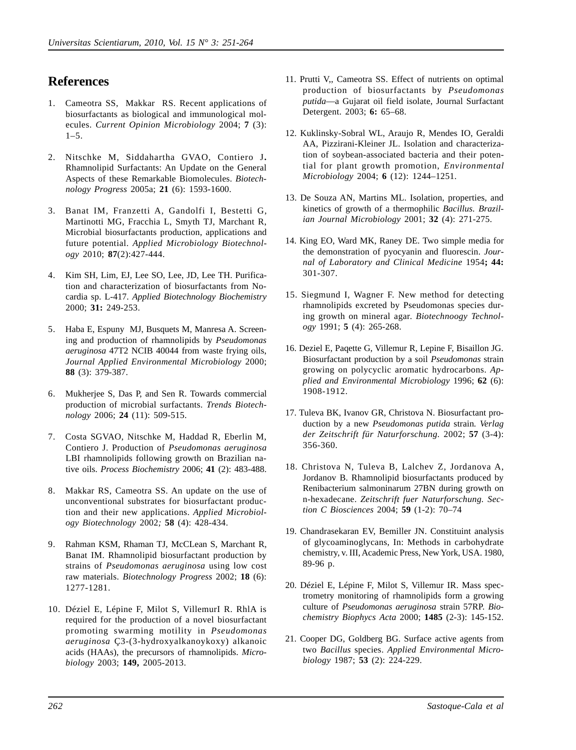# **References**

- 1. Cameotra SS, Makkar RS. Recent applications of biosurfactants as biological and immunological molecules. *Current Opinion Microbiology* 2004; **7** (3):  $1-5$ .
- 2. Nitschke M, Siddahartha GVAO, Contiero J**.** Rhamnolipid Surfactants: An Update on the General Aspects of these Remarkable Biomolecules. *Biotechnology Progress* 2005a; **21** (6): 1593-1600.
- 3. Banat IM, Franzetti A, Gandolfi I, Bestetti G, Martinotti MG, Fracchia L, Smyth TJ, Marchant R, Microbial biosurfactants production, applications and future potential. *Applied Microbiology Biotechnology* 2010; **87**(2):427-444.
- 4. Kim SH, Lim, EJ, Lee SO, Lee, JD, Lee TH. Purification and characterization of biosurfactants from Nocardia sp. L-417. *Applied Biotechnology Biochemistry* 2000; **31:** 249-253.
- 5. Haba E, Espuny MJ, Busquets M, Manresa A. Screening and production of rhamnolipids by *Pseudomonas aeruginosa* 47T2 NCIB 40044 from waste frying oils, *Journal Applied Environmental Microbiology* 2000; **88** (3): 379-387.
- 6. Mukherjee S, Das P, and Sen R. Towards commercial production of microbial surfactants. *Trends Biotechnology* 2006; **24** (11): 509-515.
- 7. Costa SGVAO, Nitschke M, Haddad R, Eberlin M, Contiero J. Production of *Pseudomonas aeruginosa* LBI rhamnolipids following growth on Brazilian native oils. *Process Biochemistry* 2006; **41** (2): 483-488.
- 8. Makkar RS, Cameotra SS. An update on the use of unconventional substrates for biosurfactant production and their new applications. *Applied Microbiology Biotechnology* 2002*;* **58** (4): 428-434.
- 9. Rahman KSM, Rhaman TJ, McCLean S, Marchant R, Banat IM. Rhamnolipid biosurfactant production by strains of *Pseudomonas aeruginosa* using low cost raw materials. *Biotechnology Progress* 2002; **18** (6): 1277-1281.
- 10. Déziel E, Lépine F, Milot S, VillemurI R. RhlA is required for the production of a novel biosurfactant promoting swarming motility in *Pseudomonas aeruginosa* Ç3-(3-hydroxyalkanoykoxy) alkanoic acids (HAAs), the precursors of rhamnolipids. *Microbiology* 2003; **149,** 2005-2013.
- 11. Prutti V,, Cameotra SS. Effect of nutrients on optimal production of biosurfactants by *Pseudomonas putida*—a Gujarat oil field isolate, Journal Surfactant Detergent. 2003; **6:** 65–68.
- 12. Kuklinsky-Sobral WL, Araujo R, Mendes IO, Geraldi AA, Pizzirani-Kleiner JL. Isolation and characterization of soybean-associated bacteria and their potential for plant growth promotion, *Environmental Microbiology* 2004; **6** (12): 1244–1251.
- 13. De Souza AN, Martins ML. Isolation, properties, and kinetics of growth of a thermophilic *Bacillus. Brazilian Journal Microbiology* 2001; **32** (4): 271-275.
- 14. King EO, Ward MK, Raney DE. Two simple media for the demonstration of pyocyanin and fluorescin. *Journal of Laboratory and Clinical Medicine* 1954**; 44:** 301-307.
- 15. Siegmund I, Wagner F. New method for detecting rhamnolipids excreted by Pseudomonas species during growth on mineral agar. *Biotechnoogy Technology* 1991; **5** (4): 265-268.
- 16. Deziel E, Paqette G, Villemur R, Lepine F, Bisaillon JG. Biosurfactant production by a soil *Pseudomonas* strain growing on polycyclic aromatic hydrocarbons. *Applied and Environmental Microbiology* 1996; **62** (6): 1908-1912.
- 17. Tuleva BK, Ivanov GR, Christova N. Biosurfactant production by a new *Pseudomonas putida* strain*. Verlag der Zeitschrift für Naturforschung.* 2002; **57** (3-4): 356-360.
- 18. Christova N, Tuleva B, Lalchev Z, Jordanova A, Jordanov B. Rhamnolipid biosurfactants produced by Renibacterium salmoninarum 27BN during growth on n-hexadecane. *Zeitschrift fuer Naturforschung. Section C Biosciences* 2004; **59** (1-2): 70–74
- 19. Chandrasekaran EV, Bemiller JN. Constituint analysis of glycoaminoglycans, In: Methods in carbohydrate chemistry, v. III, Academic Press, New York, USA. 1980, 89-96 p.
- 20. Déziel E, Lépine F, Milot S, Villemur IR. Mass spectrometry monitoring of rhamnolipids form a growing culture of *Pseudomonas aeruginosa* strain 57RP. *Biochemistry Biophycs Acta* 2000; **1485** (2-3): 145-152.
- 21. Cooper DG, Goldberg BG. Surface active agents from two *Bacillus* species. *Applied Environmental Microbiology* 1987; **53** (2): 224-229.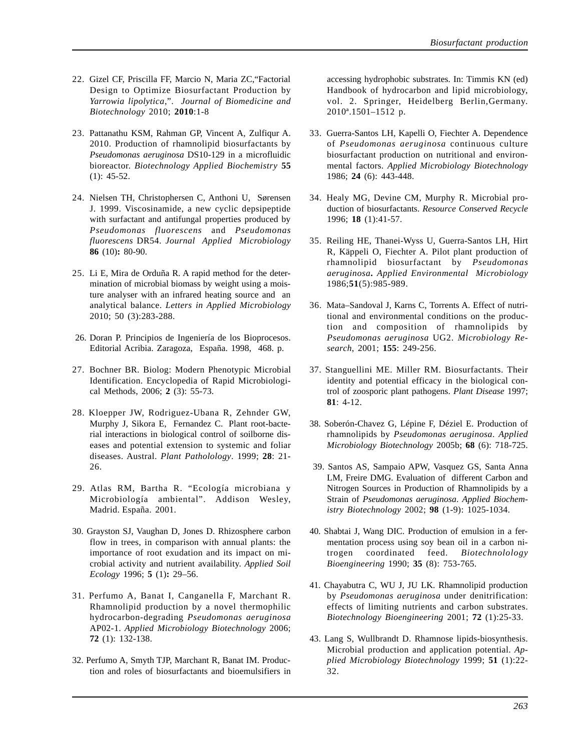- 22. Gizel CF, Priscilla FF, Marcio N, Maria ZC,"Factorial Design to Optimize Biosurfactant Production by *Yarrowia lipolytica*,". *Journal of Biomedicine and Biotechnology* 2010; **2010**:1-8
- 23. Pattanathu KSM, Rahman GP, Vincent A, Zulfiqur A. 2010. Production of rhamnolipid biosurfactants by *Pseudomonas aeruginosa* DS10-129 in a microfluidic bioreactor. *Biotechnology Applied Biochemistry* **55** (1): 45-52.
- 24. Nielsen TH, Christophersen C, Anthoni U, Sørensen J. 1999. Viscosinamide, a new cyclic depsipeptide with surfactant and antifungal properties produced by *Pseudomonas fluorescens* and *Pseudomonas fluorescens* DR54. *Journal Applied Microbiology* **86** (10)**:** 80-90.
- 25. Li E, Mira de Orduña R. A rapid method for the determination of microbial biomass by weight using a moisture analyser with an infrared heating source and an analytical balance. *Letters in Applied Microbiology* 2010; 50 (3):283-288.
- 26. Doran P. Principios de Ingeniería de los Bioprocesos. Editorial Acribia. Zaragoza, España. 1998, 468. p.
- 27. Bochner BR. Biolog: Modern Phenotypic Microbial Identification. Encyclopedia of Rapid Microbiological Methods, 2006; **2** (3): 55-73.
- 28. Kloepper JW, Rodriguez-Ubana R, Zehnder GW, Murphy J, Sikora E, Fernandez C. Plant root-bacterial interactions in biological control of soilborne diseases and potential extension to systemic and foliar diseases. Austral. *Plant Patholology*. 1999; **28**: 21- 26.
- 29. Atlas RM, Bartha R. "Ecología microbiana y Microbiología ambiental". Addison Wesley, Madrid. España. 2001.
- 30. Grayston SJ, Vaughan D, Jones D. Rhizosphere carbon flow in trees, in comparison with annual plants: the importance of root exudation and its impact on microbial activity and nutrient availability. *Applied Soil Ecology* 1996; **5** (1)**:** 29–56.
- 31. Perfumo A, Banat I, Canganella F, Marchant R. Rhamnolipid production by a novel thermophilic hydrocarbon-degrading *Pseudomonas aeruginosa* AP02-1. *Applied Microbiology Biotechnology* 2006; **72** (1): 132-138.
- 32. Perfumo A, Smyth TJP, Marchant R, Banat IM. Production and roles of biosurfactants and bioemulsifiers in

accessing hydrophobic substrates. In: Timmis KN (ed) Handbook of hydrocarbon and lipid microbiology, vol. 2. Springer, Heidelberg Berlin,Germany. 2010ª.1501–1512 p.

- 33. Guerra-Santos LH, Kapelli O, Fiechter A. Dependence of *Pseudomonas aeruginosa* continuous culture biosurfactant production on nutritional and environmental factors. *Applied Microbiology Biotechnology* 1986; **24** (6): 443-448.
- 34. Healy MG, Devine CM, Murphy R. Microbial production of biosurfactants. *Resource Conserved Recycle* 1996; **18** (1):41-57.
- 35. Reiling HE, Thanei-Wyss U, Guerra-Santos LH, Hirt R, Käppeli O, Fiechter A. Pilot plant production of rhamnolipid biosurfactant by *Pseudomonas aeruginosa***.** *Applied Environmental Microbiology* 1986;**51**(5):985-989.
- 36. Mata–Sandoval J, Karns C, Torrents A. Effect of nutritional and environmental conditions on the production and composition of rhamnolipids by *Pseudomonas aeruginosa* UG2. *Microbiology Research*, 2001; **155**: 249-256.
- 37. Stanguellini ME. Miller RM. Biosurfactants. Their identity and potential efficacy in the biological control of zoosporic plant pathogens. *Plant Disease* 1997; **81**: 4-12.
- 38. Soberón-Chavez G, Lépine F, Déziel E. Production of rhamnolipids by *Pseudomonas aeruginosa*. *Applied Microbiology Biotechnology* 2005b; **68** (6): 718-725.
- 39. Santos AS, Sampaio APW, Vasquez GS, Santa Anna LM, Freire DMG. Evaluation of different Carbon and Nitrogen Sources in Production of Rhamnolipids by a Strain of *Pseudomonas aeruginosa*. *Applied Biochemistry Biotechnology* 2002; **98** (1-9): 1025-1034.
- 40. Shabtai J, Wang DIC. Production of emulsion in a fermentation process using soy bean oil in a carbon nitrogen coordinated feed. *Biotechnolology Bioengineering* 1990; **35** (8): 753-765.
- 41. Chayabutra C, WU J, JU LK. Rhamnolipid production by *Pseudomonas aeruginosa* under denitrification: effects of limiting nutrients and carbon substrates. *Biotechnology Bioengineering* 2001; **72** (1):25-33.
- 43. Lang S, Wullbrandt D. Rhamnose lipids-biosynthesis. Microbial production and application potential. *Applied Microbiology Biotechnology* 1999; **51** (1):22- 32.